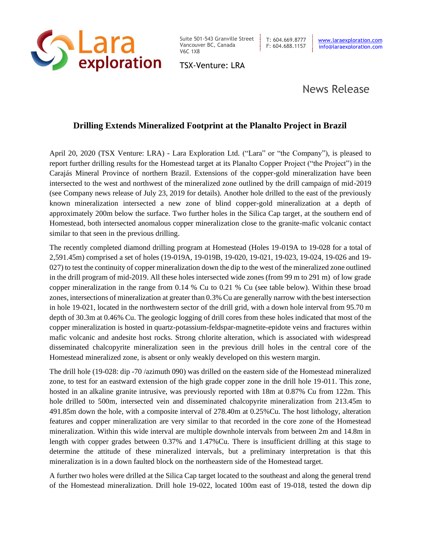

Suite 501-543 Granville Street | T: 604.669.8777 Vancouver BC, Canada V6C 1X8

TSX-Venture: LRA

# News Release

## **Drilling Extends Mineralized Footprint at the Planalto Project in Brazil**

April 20, 2020 (TSX Venture: LRA) - Lara Exploration Ltd. ("Lara" or "the Company"), is pleased to report further drilling results for the Homestead target at its Planalto Copper Project ("the Project") in the Carajás Mineral Province of northern Brazil. Extensions of the copper-gold mineralization have been intersected to the west and northwest of the mineralized zone outlined by the drill campaign of mid-2019 (see Company news release of July 23, 2019 for details). Another hole drilled to the east of the previously known mineralization intersected a new zone of blind copper-gold mineralization at a depth of approximately 200m below the surface. Two further holes in the Silica Cap target, at the southern end of Homestead, both intersected anomalous copper mineralization close to the granite-mafic volcanic contact similar to that seen in the previous drilling.

The recently completed diamond drilling program at Homestead (Holes 19-019A to 19-028 for a total of 2,591.45m) comprised a set of holes (19-019A, 19-019B, 19-020, 19-021, 19-023, 19-024, 19-026 and 19- 027) to test the continuity of copper mineralization down the dip to the west of the mineralized zone outlined in the drill program of mid-2019. All these holes intersected wide zones (from 99 m to 291 m) of low grade copper mineralization in the range from 0.14 % Cu to 0.21 % Cu (see table below). Within these broad zones, intersections of mineralization at greater than 0.3% Cu are generally narrow with the best intersection in hole 19-021, located in the northwestern sector of the drill grid, with a down hole interval from 95.70 m depth of 30.3m at 0.46% Cu. The geologic logging of drill cores from these holes indicated that most of the copper mineralization is hosted in quartz-potassium-feldspar-magnetite-epidote veins and fractures within mafic volcanic and andesite host rocks. Strong chlorite alteration, which is associated with widespread disseminated chalcopyrite mineralization seen in the previous drill holes in the central core of the Homestead mineralized zone, is absent or only weakly developed on this western margin.

The drill hole (19-028: dip -70 /azimuth 090) was drilled on the eastern side of the Homestead mineralized zone, to test for an eastward extension of the high grade copper zone in the drill hole 19-011. This zone, hosted in an alkaline granite intrusive, was previously reported with 18m at 0.87% Cu from 122m. This hole drilled to 500m, intersected vein and disseminated chalcopyrite mineralization from 213.45m to 491.85m down the hole, with a composite interval of 278.40m at 0.25%Cu. The host lithology, alteration features and copper mineralization are very similar to that recorded in the core zone of the Homestead mineralization. Within this wide interval are multiple downhole intervals from between 2m and 14.8m in length with copper grades between 0.37% and 1.47%Cu. There is insufficient drilling at this stage to determine the attitude of these mineralized intervals, but a preliminary interpretation is that this mineralization is in a down faulted block on the northeastern side of the Homestead target.

A further two holes were drilled at the Silica Cap target located to the southeast and along the general trend of the Homestead mineralization. Drill hole 19-022, located 100m east of 19-018, tested the down dip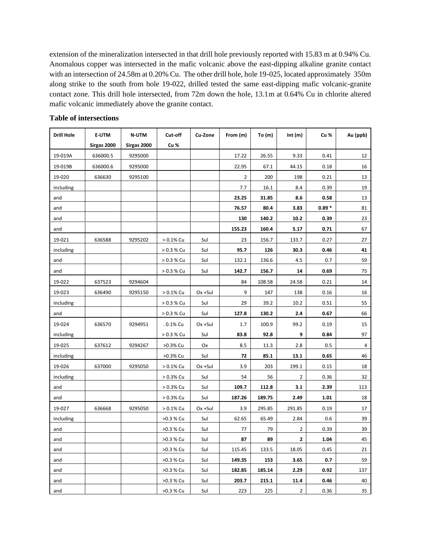extension of the mineralization intersected in that drill hole previously reported with 15.83 m at 0.94% Cu. Anomalous copper was intersected in the mafic volcanic above the east-dipping alkaline granite contact with an intersection of 24.58m at 0.20% Cu. The other drill hole, hole 19-025, located approximately 350m along strike to the south from hole 19-022, drilled tested the same east-dipping mafic volcanic-granite contact zone. This drill hole intersected, from 72m down the hole, 13.1m at 0.64% Cu in chlorite altered mafic volcanic immediately above the granite contact.

| <b>Drill Hole</b> | <b>E-UTM</b> | <b>N-UTM</b> | Cut-off      | Cu-Zone | From (m) | To $(m)$ | Int $(m)$ | Cu %    | Au (ppb)   |
|-------------------|--------------|--------------|--------------|---------|----------|----------|-----------|---------|------------|
|                   | Sirgas 2000  | Sirgas 2000  | Cu %         |         |          |          |           |         |            |
| 19-019A           | 636000.5     | 9295000      |              |         | 17.22    | 26.55    | 9.33      | 0.41    | 12         |
| 19-019B           | 636000.6     | 9295000      |              |         | 22.95    | 67.1     | 44.15     | 0.18    | 16         |
| 19-020            | 636630       | 9295100      |              |         | 2        | 200      | 198       | 0.21    | 13         |
| including         |              |              |              |         | 7.7      | 16.1     | 8.4       | 0.39    | 19         |
| and               |              |              |              |         | 23.25    | 31.85    | 8.6       | 0.58    | 13         |
| and               |              |              |              |         | 76.57    | 80.4     | 3.83      | $0.89*$ | 81         |
| and               |              |              |              |         | 130      | 140.2    | 10.2      | 0.39    | 23         |
| and               |              |              |              |         | 155.23   | 160.4    | 5.17      | 0.71    | 67         |
| 19-021            | 636588       | 9295202      | $> 0.1\%$ Cu | Sul     | 23       | 156.7    | 133.7     | 0.27    | 27         |
| including         |              |              | $> 0.3 %$ Cu | Sul     | 95.7     | 126      | 30.3      | 0.46    | 41         |
| and               |              |              | $> 0.3 %$ Cu | Sul     | 132.1    | 136.6    | 4.5       | 0.7     | 59         |
| and               |              |              | $> 0.3 %$ Cu | Sul     | 142.7    | 156.7    | 14        | 0.69    | 75         |
| 19-022            | 637523       | 9294604      |              |         | 84       | 108.58   | 24.58     | 0.21    | 14         |
| 19-023            | 636490       | 9295150      | $> 0.1\%$ Cu | Ox +Sul | 9        | 147      | 138       | 0.16    | 16         |
| including         |              |              | $> 0.3 %$ Cu | Sul     | 29       | 39.2     | 10.2      | 0.51    | 55         |
| and               |              |              | $> 0.3 %$ Cu | Sul     | 127.8    | 130.2    | 2.4       | 0.67    | 66         |
| 19-024            | 636570       | 9294951      | .0.1% Cu     | Ox +Sul | 1.7      | 100.9    | 99.2      | 0.19    | 15         |
| including         |              |              | $> 0.3 %$ Cu | Sul     | 83.8     | 92.8     | 9         | 0.84    | 97         |
| 19-025            | 637612       | 9294267      | >0.3% Cu     | Ox      | 8.5      | 11.3     | 2.8       | 0.5     | $\sqrt{4}$ |
| including         |              |              | >0.3% Cu     | Sul     | 72       | 85.1     | 13.1      | 0.65    | 46         |
| 19-026            | 637000       | 9295050      | > 0.1% Cu    | Ox +Sul | 3.9      | 203      | 199.1     | 0.15    | 18         |
| including         |              |              | > 0.3% Cu    | Sul     | 54       | 56       | 2         | 0.36    | 32         |
| and               |              |              | > 0.3% Cu    | Sul     | 109.7    | 112.8    | 3.1       | 2.39    | 113        |
| and               |              |              | > 0.3% Cu    | Sul     | 187.26   | 189.75   | 2.49      | 1.01    | 18         |
| 19-027            | 636668       | 9295050      | $> 0.1\%$ Cu | Ox +Sul | 3.9      | 295.85   | 291.85    | 0.19    | 17         |
| including         |              |              | >0.3 % Cu    | Sul     | 62.65    | 65.49    | 2.84      | 0.6     | 39         |
| and               |              |              | >0.3 % Cu    | Sul     | 77       | 79       | 2         | 0.39    | 39         |
| and               |              |              | >0.3 % Cu    | Sul     | 87       | 89       | 2         | 1.04    | 45         |
| and               |              |              | >0.3 % Cu    | Sul     | 115.45   | 133.5    | 18.05     | 0.45    | 21         |
| and               |              |              | >0.3 % Cu    | Sul     | 149.35   | 153      | 3.65      | 0.7     | 59         |
| and               |              |              | >0.3 % Cu    | Sul     | 182.85   | 185.14   | 2.29      | 0.92    | 137        |
| and               |              |              | >0.3 % Cu    | Sul     | 203.7    | 215.1    | 11.4      | 0.46    | 40         |
| and               |              |              | >0.3 % Cu    | Sul     | 223      | 225      | 2         | 0.36    | 35         |

#### **Table of intersections**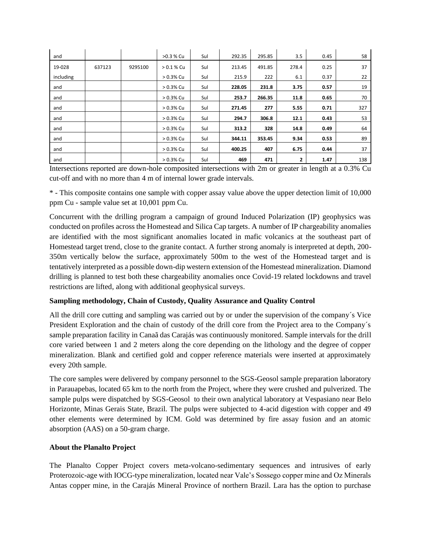| and       |        |         | >0.3 % Cu    | Sul | 292.35 | 295.85 | 3.5   | 0.45 | 58  |
|-----------|--------|---------|--------------|-----|--------|--------|-------|------|-----|
| 19-028    | 637123 | 9295100 | $> 0.1 %$ Cu | Sul | 213.45 | 491.85 | 278.4 | 0.25 | 37  |
| including |        |         | $> 0.3\%$ Cu | Sul | 215.9  | 222    | 6.1   | 0.37 | 22  |
| and       |        |         | $> 0.3\%$ Cu | Sul | 228.05 | 231.8  | 3.75  | 0.57 | 19  |
| and       |        |         | $> 0.3\%$ Cu | Sul | 253.7  | 266.35 | 11.8  | 0.65 | 70  |
| and       |        |         | $> 0.3\%$ Cu | Sul | 271.45 | 277    | 5.55  | 0.71 | 327 |
| and       |        |         | $> 0.3\%$ Cu | Sul | 294.7  | 306.8  | 12.1  | 0.43 | 53  |
| and       |        |         | $> 0.3\%$ Cu | Sul | 313.2  | 328    | 14.8  | 0.49 | 64  |
| and       |        |         | $> 0.3\%$ Cu | Sul | 344.11 | 353.45 | 9.34  | 0.53 | 89  |
| and       |        |         | $> 0.3\%$ Cu | Sul | 400.25 | 407    | 6.75  | 0.44 | 37  |
| and       |        |         | $> 0.3\%$ Cu | Sul | 469    | 471    | 2     | 1.47 | 138 |

Intersections reported are down-hole composited intersections with 2m or greater in length at a 0.3% Cu cut-off and with no more than 4 m of internal lower grade intervals.

\* - This composite contains one sample with copper assay value above the upper detection limit of 10,000 ppm Cu - sample value set at 10,001 ppm Cu.

Concurrent with the drilling program a campaign of ground Induced Polarization (IP) geophysics was conducted on profiles across the Homestead and Silica Cap targets. A number of IP chargeability anomalies are identified with the most significant anomalies located in mafic volcanics at the southeast part of Homestead target trend, close to the granite contact. A further strong anomaly is interpreted at depth, 200- 350m vertically below the surface, approximately 500m to the west of the Homestead target and is tentatively interpreted as a possible down-dip western extension of the Homestead mineralization. Diamond drilling is planned to test both these chargeability anomalies once Covid-19 related lockdowns and travel restrictions are lifted, along with additional geophysical surveys.

### **Sampling methodology, Chain of Custody, Quality Assurance and Quality Control**

All the drill core cutting and sampling was carried out by or under the supervision of the company´s Vice President Exploration and the chain of custody of the drill core from the Project area to the Company´s sample preparation facility in Canaã das Carajás was continuously monitored. Sample intervals for the drill core varied between 1 and 2 meters along the core depending on the lithology and the degree of copper mineralization. Blank and certified gold and copper reference materials were inserted at approximately every 20th sample.

The core samples were delivered by company personnel to the SGS-Geosol sample preparation laboratory in Parauapebas, located 65 km to the north from the Project, where they were crushed and pulverized. The sample pulps were dispatched by SGS-Geosol to their own analytical laboratory at Vespasiano near Belo Horizonte, Minas Gerais State, Brazil. The pulps were subjected to 4-acid digestion with copper and 49 other elements were determined by ICM. Gold was determined by fire assay fusion and an atomic absorption (AAS) on a 50-gram charge.

#### **About the Planalto Project**

The Planalto Copper Project covers meta-volcano-sedimentary sequences and intrusives of early Proterozoic-age with IOCG-type mineralization, located near Vale's Sossego copper mine and Oz Minerals Antas copper mine, in the Carajás Mineral Province of northern Brazil. Lara has the option to purchase